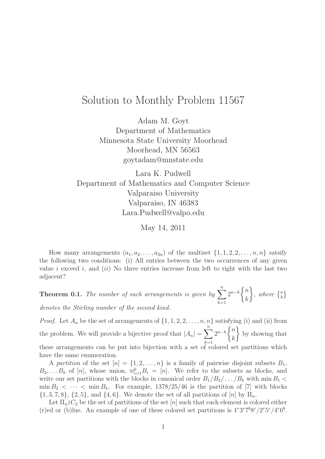## Solution to Monthly Problem 11567

Adam M. Goyt Department of Mathematics Minnesota State University Moorhead Moorhead, MN 56563 goytadam@mnstate.edu

Lara K. Pudwell Department of Mathematics and Computer Science Valparaiso University Valparaiso, IN 46383 Lara.Pudwell@valpo.edu

May 14, 2011

How many arrangements  $(a_1, a_2, \ldots, a_{2n})$  of the multiset  $\{1, 1, 2, 2, \ldots, n, n\}$  satsify the following two conditions: (i) All entries between the two occurrences of any given value i exceed i, and (ii) No three entries increase from left to right with the last two adjacent?

**Theorem 0.1.** The number of such arrangements is given by  $\sum_{n=1}^{n}$  $k=1$  $2^{n-k}\begin{cases}n\end{cases}$ k  $\Big\}$ , where  $\{^n_k\}$ denotes the Stirling number of the second kind.

*Proof.* Let  $A_n$  be the set of arrangements of  $\{1, 1, 2, 2, \ldots, n, n\}$  satisfying (i) and (ii) from the problem. We will provide a bijective proof that  $|A_n| = \sum_{n=1}^{\infty}$  $k=1$  $2^{n-k}\begin{cases}n\end{cases}$ k  $\mathcal{L}$ by showing that these arrangements can be put into bijection with a set of colored set partitions which have the same enumeration.

A partition of the set  $[n] = \{1, 2, \ldots, n\}$  is a family of pairwise disjoint subsets  $B_1$ ,  $B_2, \ldots, B_k$  of [n], whose union,  $\biguplus_{i=1}^k B_i = [n]$ . We refer to the subsets as blocks, and write our set partitions with the blocks in canonical order  $B_1/B_2/\ldots/B_k$  with min  $B_1$  <  $\min B_2 < \cdots < \min B_k$ . For example, 1378/25/46 is the partition of [7] with blocks  $\{1,3,7,8\},\{2,5\},\text{ and }\{4,6\}.$  We denote the set of all partitions of  $[n]$  by  $\Pi_n$ .

Let  $\Pi_n \n\chi C_2$  be the set of partitions of the set  $[n]$  such that each element is colored either (r) ed or (b) lue. An example of one of these colored set partitions is  $1^r 3^r 7^b 8^r / 2^r 5^r / 4^r 6^b$ .